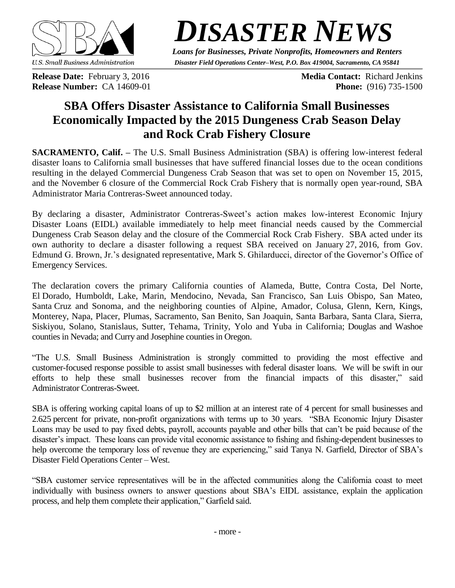

*DISASTER NEWS*

*Loans for Businesses, Private Nonprofits, Homeowners and Renters Disaster Field Operations Center–West, P.O. Box 419004, Sacramento, CA 95841*

**Release Date:** February 3, 2016 **Media Contact:** Richard Jenkins **Release Number:** CA 14609-01 **Phone:** (916) 735-1500

# **SBA Offers Disaster Assistance to California Small Businesses Economically Impacted by the 2015 Dungeness Crab Season Delay and Rock Crab Fishery Closure**

**SACRAMENTO, Calif. –** The U.S. Small Business Administration (SBA) is offering low-interest federal disaster loans to California small businesses that have suffered financial losses due to the ocean conditions resulting in the delayed Commercial Dungeness Crab Season that was set to open on November 15, 2015, and the November 6 closure of the Commercial Rock Crab Fishery that is normally open year-round, SBA Administrator Maria Contreras-Sweet announced today.

By declaring a disaster, Administrator Contreras-Sweet's action makes low-interest Economic Injury Disaster Loans (EIDL) available immediately to help meet financial needs caused by the Commercial Dungeness Crab Season delay and the closure of the Commercial Rock Crab Fishery. SBA acted under its own authority to declare a disaster following a request SBA received on January 27, 2016, from Gov. Edmund G. Brown, Jr.'s designated representative, Mark S. Ghilarducci, director of the Governor's Office of Emergency Services.

The declaration covers the primary California counties of Alameda, Butte, Contra Costa, Del Norte, El Dorado, Humboldt, Lake, Marin, Mendocino, Nevada, San Francisco, San Luis Obispo, San Mateo, Santa Cruz and Sonoma, and the neighboring counties of Alpine, Amador, Colusa, Glenn, Kern, Kings, Monterey, Napa, Placer, Plumas, Sacramento, San Benito, San Joaquin, Santa Barbara, Santa Clara, Sierra, Siskiyou, Solano, Stanislaus, Sutter, Tehama, Trinity, Yolo and Yuba in California; Douglas and Washoe counties in Nevada; and Curry and Josephine counties in Oregon.

"The U.S. Small Business Administration is strongly committed to providing the most effective and customer-focused response possible to assist small businesses with federal disaster loans. We will be swift in our efforts to help these small businesses recover from the financial impacts of this disaster," said Administrator Contreras-Sweet.

SBA is offering working capital loans of up to \$2 million at an interest rate of 4 percent for small businesses and 2.625 percent for private, non-profit organizations with terms up to 30 years. "SBA Economic Injury Disaster Loans may be used to pay fixed debts, payroll, accounts payable and other bills that can't be paid because of the disaster's impact. These loans can provide vital economic assistance to fishing and fishing-dependent businesses to help overcome the temporary loss of revenue they are experiencing," said Tanya N. Garfield, Director of SBA's Disaster Field Operations Center – West.

"SBA customer service representatives will be in the affected communities along the California coast to meet individually with business owners to answer questions about SBA's EIDL assistance, explain the application process, and help them complete their application," Garfield said.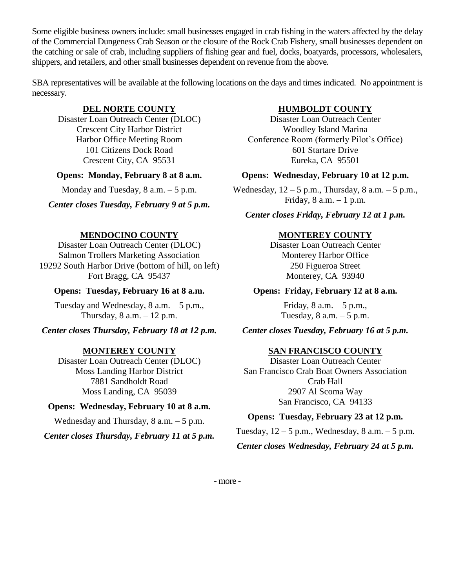Some eligible business owners include: small businesses engaged in crab fishing in the waters affected by the delay of the Commercial Dungeness Crab Season or the closure of the Rock Crab Fishery, small businesses dependent on the catching or sale of crab, including suppliers of fishing gear and fuel, docks, boatyards, processors, wholesalers, shippers, and retailers, and other small businesses dependent on revenue from the above.

SBA representatives will be available at the following locations on the days and times indicated. No appointment is necessary.

# **DEL NORTE COUNTY**

Disaster Loan Outreach Center (DLOC) Crescent City Harbor District Harbor Office Meeting Room 101 Citizens Dock Road Crescent City, CA 95531

### **Opens: Monday, February 8 at 8 a.m.**

Monday and Tuesday,  $8$  a.m.  $-5$  p.m.

*Center closes Tuesday, February 9 at 5 p.m.*

# **MENDOCINO COUNTY**

Disaster Loan Outreach Center (DLOC) Salmon Trollers Marketing Association 19292 South Harbor Drive (bottom of hill, on left) Fort Bragg, CA 95437

### **Opens: Tuesday, February 16 at 8 a.m.**

Tuesday and Wednesday, 8 a.m. – 5 p.m., Thursday,  $8$  a.m.  $-12$  p.m.

# *Center closes Thursday, February 18 at 12 p.m.*

# **MONTEREY COUNTY**

Disaster Loan Outreach Center (DLOC) Moss Landing Harbor District 7881 Sandholdt Road Moss Landing, CA 95039

# **Opens: Wednesday, February 10 at 8 a.m.**

Wednesday and Thursday, 8 a.m. – 5 p.m.

*Center closes Thursday, February 11 at 5 p.m.*

# **HUMBOLDT COUNTY**

Disaster Loan Outreach Center Woodley Island Marina Conference Room (formerly Pilot's Office) 601 Startare Drive Eureka, CA 95501

### **Opens: Wednesday, February 10 at 12 p.m.**

Wednesday,  $12 - 5$  p.m., Thursday,  $8$  a.m.  $-5$  p.m., Friday,  $8$  a.m.  $-1$  p.m.

### *Center closes Friday, February 12 at 1 p.m.*

# **MONTEREY COUNTY**

Disaster Loan Outreach Center Monterey Harbor Office 250 Figueroa Street Monterey, CA 93940

### **Opens: Friday, February 12 at 8 a.m.**

Friday,  $8$  a.m.  $-5$  p.m., Tuesday,  $8$  a.m.  $-5$  p.m.

*Center closes Tuesday, February 16 at 5 p.m.*

# **SAN FRANCISCO COUNTY**

Disaster Loan Outreach Center San Francisco Crab Boat Owners Association Crab Hall 2907 Al Scoma Way San Francisco, CA 94133

### **Opens: Tuesday, February 23 at 12 p.m.**

Tuesday,  $12 - 5$  p.m., Wednesday,  $8$  a.m.  $-5$  p.m. *Center closes Wednesday, February 24 at 5 p.m.*

- more -